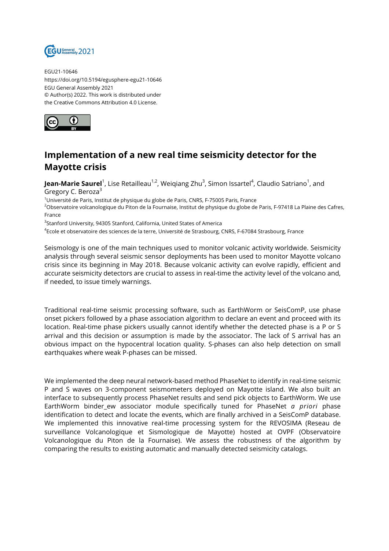

EGU21-10646 https://doi.org/10.5194/egusphere-egu21-10646 EGU General Assembly 2021 © Author(s) 2022. This work is distributed under the Creative Commons Attribution 4.0 License.



## **Implementation of a new real time seismicity detector for the Mayotte crisis**

**Jean-Marie Saurel**<sup>1</sup>, Lise Retailleau<sup>1,2</sup>, Weiqiang Zhu<sup>3</sup>, Simon Issartel<sup>4</sup>, Claudio Satriano<sup>1</sup>, and Gregory C. Beroza<sup>3</sup>

 $10$ niversité de Paris, Institut de physique du globe de Paris, CNRS, F-75005 Paris, France

<sup>2</sup>Observatoire volcanologique du Piton de la Fournaise, Institut de physique du globe de Paris, F-97418 La Plaine des Cafres, France

 $^3$ Stanford University, 94305 Stanford, California, United States of America

4 Ecole et observatoire des sciences de la terre, Université de Strasbourg, CNRS, F-67084 Strasbourg, France

Seismology is one of the main techniques used to monitor volcanic activity worldwide. Seismicity analysis through several seismic sensor deployments has been used to monitor Mayotte volcano crisis since its beginning in May 2018. Because volcanic activity can evolve rapidly, efficient and accurate seismicity detectors are crucial to assess in real-time the activity level of the volcano and, if needed, to issue timely warnings.

Traditional real-time seismic processing software, such as EarthWorm or SeisComP, use phase onset pickers followed by a phase association algorithm to declare an event and proceed with its location. Real-time phase pickers usually cannot identify whether the detected phase is a P or S arrival and this decision or assumption is made by the associator. The lack of S arrival has an obvious impact on the hypocentral location quality. S-phases can also help detection on small earthquakes where weak P-phases can be missed.

We implemented the deep neural network-based method PhaseNet to identify in real-time seismic P and S waves on 3-component seismometers deployed on Mayotte island. We also built an interface to subsequently process PhaseNet results and send pick objects to EarthWorm. We use EarthWorm binder\_ew associator module specifically tuned for PhaseNet *a priori* phase identification to detect and locate the events, which are finally archived in a SeisComP database. We implemented this innovative real-time processing system for the REVOSIMA (Reseau de surveillance Volcanologique et Sismologique de Mayotte) hosted at OVPF (Observatoire Volcanologique du Piton de la Fournaise). We assess the robustness of the algorithm by comparing the results to existing automatic and manually detected seismicity catalogs.